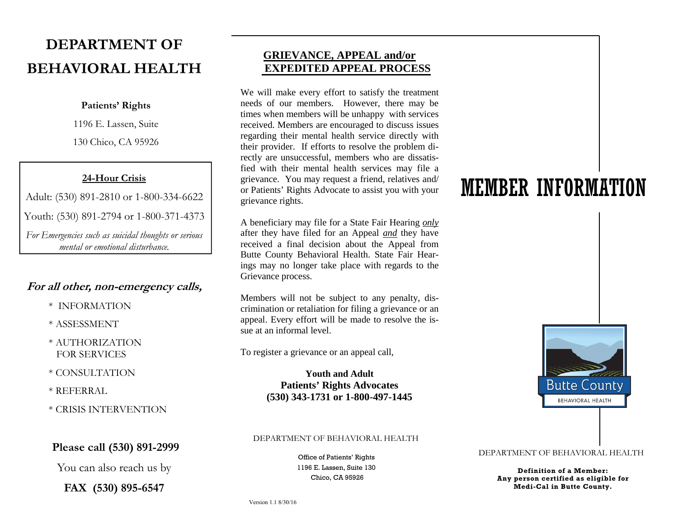# **DEPARTMENT OF BEHAVIORAL HEALTH**

### **Patients' Rights**

1196 E. Lassen, Suite

130 Chico, CA 95926

## **24-Hour Crisis**

Adult: (530) 891-2810 or 1-800-334-6622

Youth: (530) 891-2794 or 1-800-371-4373

*For Emergencies such as suicidal thoughts or serious mental or emotional disturbance.* 

## **For all other, non-emergency calls,**

- \* INFORMATION
- \* ASSESSMENT
- \* AUTHORIZATIONFOR SERVICES
- \* CONSULTATION
- \* REFERRAL
- \* CRISIS INTERVENTION

## **Please call (530) 891-2999**

You can also reach us by

**FAX (530) 895-6547** 

## **GRIEVANCE, APPEAL and/orEXPEDITED APPEAL PROCESS**

We will make every effort to satisfy the treatment needs of our members. However, there may be times when members will be unhappy with services received. Members are encouraged to discuss issues regarding their mental health service directly with their provider. If efforts to resolve the problem directly are unsuccessful, members who are dissatisfied with their mental health services may file a grievance. You may request a friend, relatives and/ or Patients' Rights Advocate to assist you with your grievance rights.

A beneficiary may file for a State Fair Hearing *only*  after they have filed for an Appeal *and* they have received a final decision about the Appeal from Butte County Behavioral Health. State Fair Hearings may no longer take place with regards to the Grievance process.

Members will not be subject to any penalty, discrimination or retaliation for filing a grievance or an appeal. Every effort will be made to resolve the issue at an informal level.

To register a grievance or an appeal call,

## **Youth and Adult Patients' Rights Advocates (530) 343-1731 or 1-800-497-1445**

### DEPARTMENT OF BEHAVIORAL HEALTH

1196 E. Lassen, Suite 130Chico, CA 95926

# MEMBER INFORMATION



## Office of Patients' Rights DEPARTMENT OF BEHAVIORAL HEALTH

**Definition of a Member: Any person certified as eligible for Medi-Cal in Butte County.**